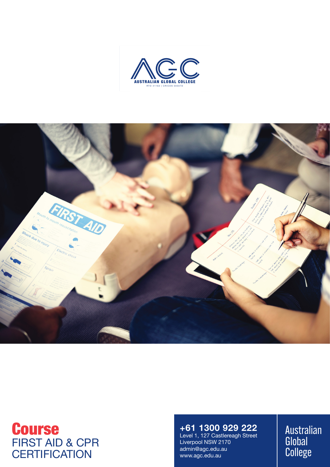



# Course FIRST AID & CPR **CERTIFICATION**

# **+61 1300 929 222**

Level 1, 127 Castlereagh Street Liverpool NSW 2170 admin@agc.edu.au www.agc.edu.au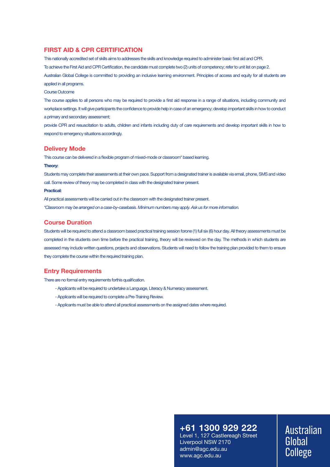#### **FIRST AID & CPR CERTIFICATION**

This nationally accredited set of skills aims to addresses the skills and knowledge required to administer basic first aid and CPR. To achieve the First Aid and CPR Certification, the candidate must complete two (2) units of competency; refer to unit list on page 2. Australian Global College is committed to providing an inclusive learning environment. Principles of access and equity for all students are applied in all programs.

#### Course Outcome

The course applies to all persons who may be required to provide a first aid response in a range of situations, including community and workplace settings. It will give participants the confidence to provide help in case of an emergency; develop important skills in how to conduct a primary and secondary assessment;

provide CPR and resuscitation to adults, children and infants including duty of care requirements and develop important skills in how to respond to emergency situations accordingly.

#### **Delivery Mode**

This course can be delivered in a flexible program of mixed-mode or classroom\* based learning.

#### **Theory:**

Students may complete their assessments at their own pace. Support from a designated trainer is available via email, phone, SMS and video call. Some review of theory may be completed in class with the designated trainer present.

#### **Practical:**

All practical assessments will be carried out in the classroom with the designated trainer present. *\*Classroom may be arranged on a case-by-casebasis. Minimum numbers may apply. Ask us for more information.*

#### **Course Duration**

Students will be required to attend a classroom based practical training session forone (1) full six (6) hour day. All theory assessments must be completed in the students own time before the practical training, theory will be reviewed on the day. The methods in which students are assessed may include written questions, projects and observations. Students will need to follow the training plan provided to them to ensure they complete the course within the required training plan.

#### **Entry Requirements**

There are no formal entry requirements forthis qualification.

- Applicants will be required to undertake a Language, Literacy & Numeracy assessment.
- Applicants will be required to complete a Pre-Training Review.
- Applicants must be able to attend all practical assessments on the assigned dates where required.

# **+61 1300 929 222**

Level 1, 127 Castlereagh Street Liverpool NSW 2170 admin@agc.edu.au www.agc.edu.au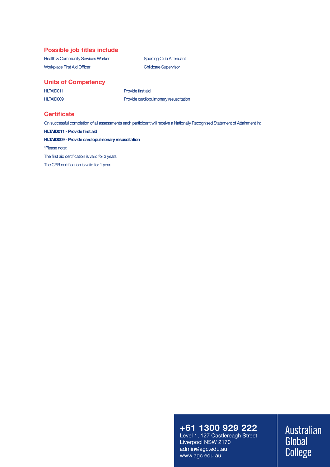#### **Possible job titles include**

Health & Community Services Worker Sporting Club Attendant Workplace First Aid Officer Childcare Supervisor

### **Units of Competency**

HLTAID011 Provide first aid

HLTAID009 Provide cardiopulmonary resuscitation

#### **Certificate**

On successful completion of all assessments each participant will receive a Nationally Recognised Statement of Attainment in:

**HLTAID011 - Provide first aid**

**HLTAID009 - Provide cardiopulmonary resuscitation**

\*Please note:

The first aid certification is valid for 3 years.

The CPR certification is valid for 1 year.

# **+61 1300 929 222**

Level 1, 127 Castlereagh Street Liverpool NSW 2170 admin@agc.edu.au www.agc.edu.au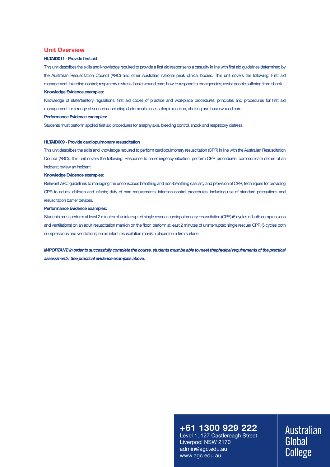#### **Unit Overview**

#### **HLTAID011 - Provide first aid**

This unit describes the skills and knowledge required to provide a first aid response to a casualty in line with first aid guidelines determined by the Australian Resuscitation Council (ARC) and other Australian national peak clinical bodies. This unit covers the following: First aid management; bleeding control; respiratory distress, basic wound care; how to respond to emergencies; assist people suffering from shock.

#### **Knowledge Evidence examples:**

Knowledge of state/territory regulations, first aid codes of practice and workplace procedures; principles and procedures for first aid management for a range of scenarios including abdominal injuries, allergic reaction, choking and basic wound care.

#### **Performance Evidence examples:**

Students must perform applied first aid procedures for anaphylaxis, bleeding control, shock and respiratory distress.

#### **HLTAID009 - Provide cardiopulmonary resuscitation**

This unit describes the skills and knowledge required to perform cardiopulmonary resuscitation (CPR) in line with the Australian Resuscitation Council (ARC). This unit covers the following: Response to an emergency situation; perform CPR procedures; communicate details of an incident; review an incident.

#### **Knowledge Evidence examples:**

Relevant ARC guidelines to managing the unconscious breathing and non-breathing casualty and provision of CPR; techniques for providing CPR to adults, children and infants; duty of care requirements; infection control procedures, including use of standard precautions and resuscitation barrier devices.

#### **Performance Evidence examples:**

Students must perform at least 2 minutes of uninterrupted single rescuer cardiopulmonary resuscitation (CPR) (5 cycles of both compressions and ventilations) on an adult resuscitation manikin on the floor; perform at least 2 minutes of uninterrupted single rescuer CPR (5 cycles both compressions and ventilations) on an infant resuscitation manikin placed on a firm surface.

*IMPORTANT: In order to successfully complete the course, students must be able to meet thephysical requirements of the practical assessments. See practical evidence examples above.*

## **+61 1300 929 222**

Level 1, 127 Castlereagh Street Liverpool NSW 2170 admin@agc.edu.au www.agc.edu.au